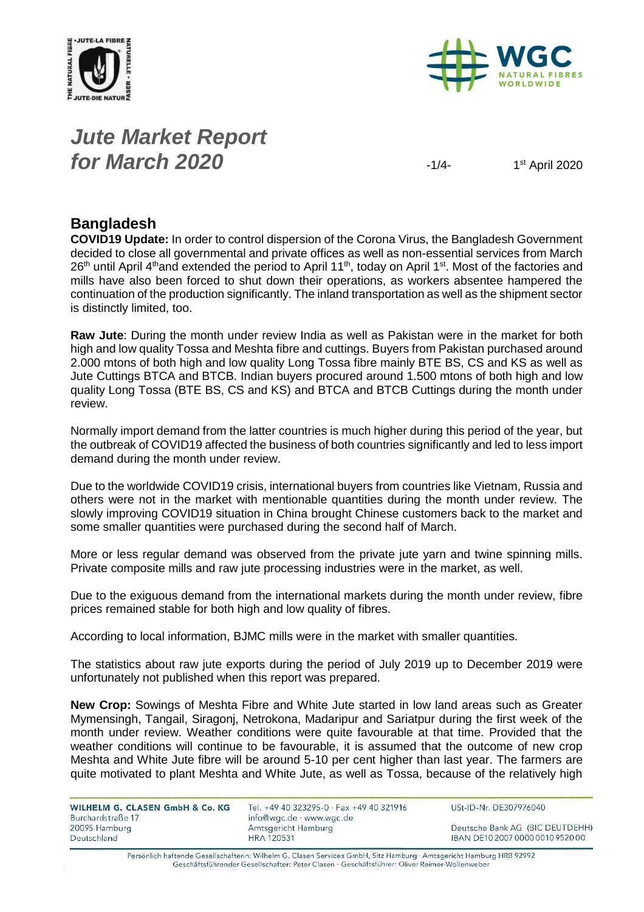



# *Jute Market Report for March* **2020**  $\frac{1}{4}$

 $1<sup>st</sup>$  April 2020

#### **Bangladesh**

**COVID19 Update:** In order to control dispersion of the Corona Virus, the Bangladesh Government decided to close all governmental and private offices as well as non-essential services from March 26<sup>th</sup> until April 4<sup>th</sup>and extended the period to April 11<sup>th</sup>, today on April 1<sup>st</sup>. Most of the factories and mills have also been forced to shut down their operations, as workers absentee hampered the continuation of the production significantly. The inland transportation as well as the shipment sector is distinctly limited, too.

**Raw Jute**: During the month under review India as well as Pakistan were in the market for both high and low quality Tossa and Meshta fibre and cuttings. Buyers from Pakistan purchased around 2.000 mtons of both high and low quality Long Tossa fibre mainly BTE BS, CS and KS as well as Jute Cuttings BTCA and BTCB. Indian buyers procured around 1.500 mtons of both high and low quality Long Tossa (BTE BS, CS and KS) and BTCA and BTCB Cuttings during the month under review.

Normally import demand from the latter countries is much higher during this period of the year, but the outbreak of COVID19 affected the business of both countries significantly and led to less import demand during the month under review.

Due to the worldwide COVID19 crisis, international buyers from countries like Vietnam, Russia and others were not in the market with mentionable quantities during the month under review. The slowly improving COVID19 situation in China brought Chinese customers back to the market and some smaller quantities were purchased during the second half of March.

More or less regular demand was observed from the private jute yarn and twine spinning mills. Private composite mills and raw jute processing industries were in the market, as well.

Due to the exiguous demand from the international markets during the month under review, fibre prices remained stable for both high and low quality of fibres.

According to local information, BJMC mills were in the market with smaller quantities.

The statistics about raw jute exports during the period of July 2019 up to December 2019 were unfortunately not published when this report was prepared.

**New Crop:** Sowings of Meshta Fibre and White Jute started in low land areas such as Greater Mymensingh, Tangail, Siragonj, Netrokona, Madaripur and Sariatpur during the first week of the month under review. Weather conditions were quite favourable at that time. Provided that the weather conditions will continue to be favourable, it is assumed that the outcome of new crop Meshta and White Jute fibre will be around 5-10 per cent higher than last year. The farmers are quite motivated to plant Meshta and White Jute, as well as Tossa, because of the relatively high

| <b>WILHELM G. CLASEN GmbH &amp; Co. KG</b> |  |
|--------------------------------------------|--|
| Burchardstraße 17                          |  |
| 20095 Hamburg                              |  |
| Deutschland                                |  |

Tel. +49 40 323295-0 · Fax +49 40 321916 info@wgc.de · www.wgc.de Amtsgericht Hamburg **HRA 120531** 

USt-ID-Nr. DE307976040

Deutsche Bank AG (BIC DEUTDEHH) IBAN DE10 2007 0000 0010 9520 00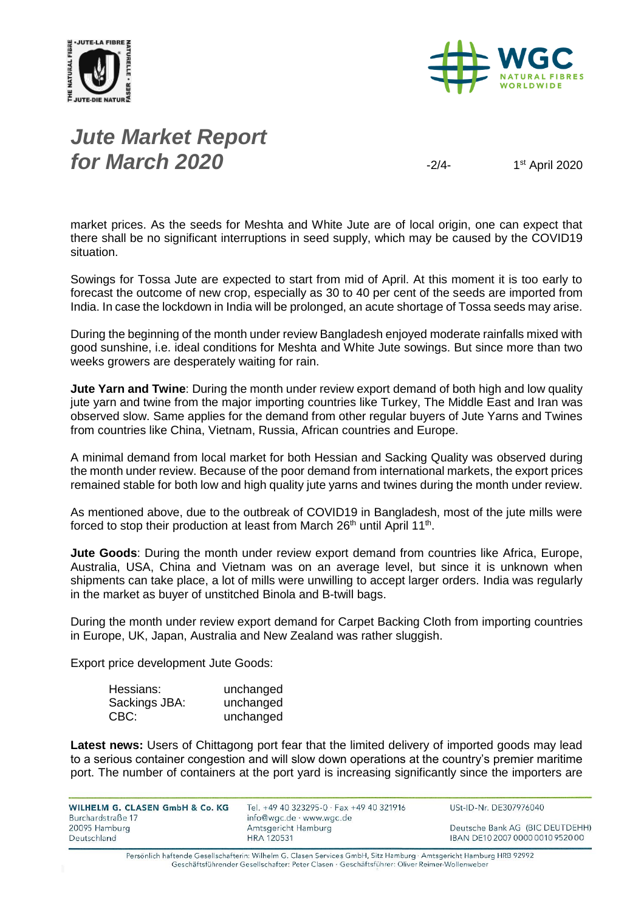



# *Jute Market Report for March* **2020**  $\frac{1}{2}$

 $1<sup>st</sup>$  April 2020

market prices. As the seeds for Meshta and White Jute are of local origin, one can expect that there shall be no significant interruptions in seed supply, which may be caused by the COVID19 situation.

Sowings for Tossa Jute are expected to start from mid of April. At this moment it is too early to forecast the outcome of new crop, especially as 30 to 40 per cent of the seeds are imported from India. In case the lockdown in India will be prolonged, an acute shortage of Tossa seeds may arise.

During the beginning of the month under review Bangladesh enjoyed moderate rainfalls mixed with good sunshine, i.e. ideal conditions for Meshta and White Jute sowings. But since more than two weeks growers are desperately waiting for rain.

**Jute Yarn and Twine**: During the month under review export demand of both high and low quality jute yarn and twine from the major importing countries like Turkey, The Middle East and Iran was observed slow. Same applies for the demand from other regular buyers of Jute Yarns and Twines from countries like China, Vietnam, Russia, African countries and Europe.

A minimal demand from local market for both Hessian and Sacking Quality was observed during the month under review. Because of the poor demand from international markets, the export prices remained stable for both low and high quality jute yarns and twines during the month under review.

As mentioned above, due to the outbreak of COVID19 in Bangladesh, most of the jute mills were forced to stop their production at least from March 26<sup>th</sup> until April 11<sup>th</sup>.

**Jute Goods**: During the month under review export demand from countries like Africa, Europe, Australia, USA, China and Vietnam was on an average level, but since it is unknown when shipments can take place, a lot of mills were unwilling to accept larger orders. India was regularly in the market as buyer of unstitched Binola and B-twill bags.

During the month under review export demand for Carpet Backing Cloth from importing countries in Europe, UK, Japan, Australia and New Zealand was rather sluggish.

Export price development Jute Goods:

| Hessians:     | unchanged |
|---------------|-----------|
| Sackings JBA: | unchanged |
| CBC:          | unchanged |

Latest news: Users of Chittagong port fear that the limited delivery of imported goods may lead to a serious container congestion and will slow down operations at the country's premier maritime port. The number of containers at the port yard is increasing significantly since the importers are

| WILHELM G. CLASEN GmbH & Co. KG | Tel. +49 40 323295-0 · Fax +49 40 321916 |
|---------------------------------|------------------------------------------|
| Burchardstraße 17               | info@wgc.de · www.wgc.de                 |
| 20095 Hamburg                   | Amtsgericht Hamburg                      |
| Deutschland                     | <b>HRA 120531</b>                        |

USt-ID-Nr. DE307976040

Deutsche Bank AG (BIC DEUTDEHH) IBAN DE10 2007 0000 0010 9520 00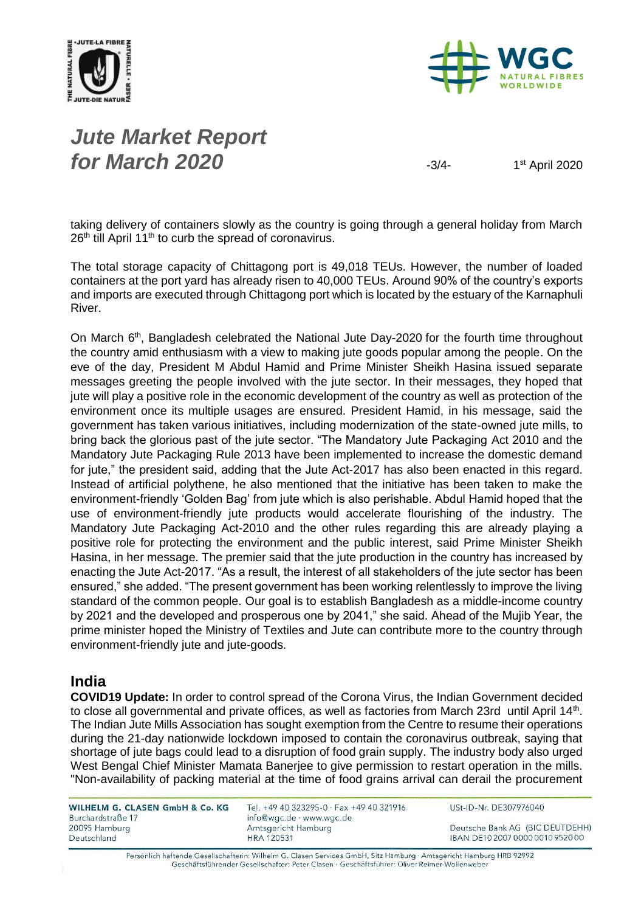



# *Jute Market Report for March* **2020**  $\frac{3}{4}$

1<sup>st</sup> April 2020

taking delivery of containers slowly as the country is going through a general holiday from March  $26<sup>th</sup>$  till April 11<sup>th</sup> to curb the spread of coronavirus.

The total storage capacity of Chittagong port is 49,018 TEUs. However, the number of loaded containers at the port yard has already risen to 40,000 TEUs. Around 90% of the country's exports and imports are executed through Chittagong port which is located by the estuary of the Karnaphuli River.

On March 6<sup>th</sup>, Bangladesh celebrated the National Jute Day-2020 for the fourth time throughout the country amid enthusiasm with a view to making jute goods popular among the people. On the eve of the day, President M Abdul Hamid and Prime Minister Sheikh Hasina issued separate messages greeting the people involved with the jute sector. In their messages, they hoped that jute will play a positive role in the economic development of the country as well as protection of the environment once its multiple usages are ensured. President Hamid, in his message, said the government has taken various initiatives, including modernization of the state-owned jute mills, to bring back the glorious past of the jute sector. "The Mandatory Jute Packaging Act 2010 and the Mandatory Jute Packaging Rule 2013 have been implemented to increase the domestic demand for jute," the president said, adding that the Jute Act-2017 has also been enacted in this regard. Instead of artificial polythene, he also mentioned that the initiative has been taken to make the environment-friendly 'Golden Bag' from jute which is also perishable. Abdul Hamid hoped that the use of environment-friendly jute products would accelerate flourishing of the industry. The Mandatory Jute Packaging Act-2010 and the other rules regarding this are already playing a positive role for protecting the environment and the public interest, said Prime Minister Sheikh Hasina, in her message. The premier said that the jute production in the country has increased by enacting the Jute Act-2017. "As a result, the interest of all stakeholders of the jute sector has been ensured," she added. "The present government has been working relentlessly to improve the living standard of the common people. Our goal is to establish Bangladesh as a middle-income country by 2021 and the developed and prosperous one by 2041," she said. Ahead of the Mujib Year, the prime minister hoped the Ministry of Textiles and Jute can contribute more to the country through environment-friendly jute and jute-goods.

#### **India**

**COVID19 Update:** In order to control spread of the Corona Virus, the Indian Government decided to close all governmental and private offices, as well as factories from March 23rd until April 14<sup>th</sup>. The Indian [Jute Mills](https://retail.economictimes.indiatimes.com/tag/jute+mills) Association has sought exemption from the Centre to resume their operations during the 21-day nationwide lockdown imposed to contain the coronavirus outbreak, saying that shortage of jute bags could lead to a disruption of food grain supply. The [industry](https://retail.economictimes.indiatimes.com/news/industry) body also urged West Bengal Chief Minister Mamata Banerjee to give permission to restart operation in the mills. "Non-availability of packing material at the time of food grains arrival can derail the procurement

WILHELM G. CLASEN GmbH & Co. KG Burchardstraße 17 20095 Hamburg Deutschland

Tel. +49 40 323295-0 · Fax +49 40 321916 info@wgc.de · www.wgc.de Amtsgericht Hamburg **HRA 120531** 

USt-ID-Nr. DE307976040

Deutsche Bank AG (BIC DEUTDEHH) IBAN DE10 2007 0000 0010 9520 00